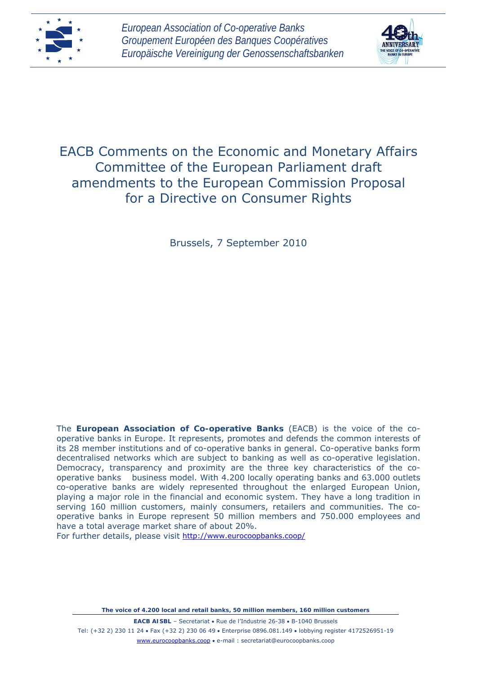



## EACB Comments on the Economic and Monetary Affairs Committee of the European Parliament draft amendments to the European Commission Proposal for a Directive on Consumer Rights

Brussels, 7 September 2010

The **European Association of Co-operative Banks** (EACB) is the voice of the cooperative banks in Europe. It represents, promotes and defends the common interests of its 28 member institutions and of co-operative banks in general. Co-operative banks form decentralised networks which are subject to banking as well as co-operative legislation. Democracy, transparency and proximity are the three key characteristics of the cooperative banks business model. With 4.200 locally operating banks and 63.000 outlets co-operative banks are widely represented throughout the enlarged European Union, playing a major role in the financial and economic system. They have a long tradition in serving 160 million customers, mainly consumers, retailers and communities. The cooperative banks in Europe represent 50 million members and 750.000 employees and have a total average market share of about 20%.

For further details, please visit<http://www.eurocoopbanks.coop/>

*The voice of 4.200 local and retail banks, 50 million members, 160 million customers* 

**EACB AISBL** - Secretariat • Rue de l'Industrie 26-38 • B-1040 Brussels Tel: (+32 2) 230 11 24 Fax (+32 2) 230 06 49 Enterprise 0896.081.149 lobbying register 4172526951-19 www.eurocoopbanks.coop e-mail : secretariat@eurocoopbanks.coop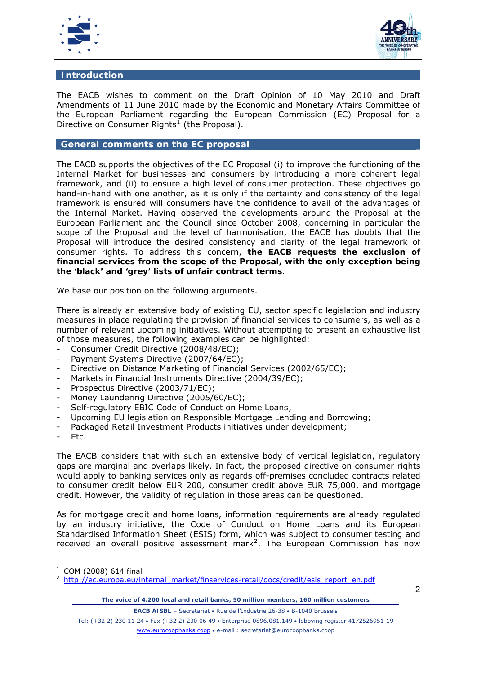



## **Introduction**

The EACB wishes to comment on the Draft Opinion of 10 May 2010 and Draft Amendments of 11 June 2010 made by the Economic and Monetary Affairs Committee of the European Parliament regarding the European Commission (EC) Proposal for a Directive on Consumer Rights<sup>[1](#page-1-0)</sup> (the Proposal).

## **General comments on the EC proposal**

The EACB supports the objectives of the EC Proposal (i) to improve the functioning of the Internal Market for businesses and consumers by introducing a more coherent legal framework, and (ii) to ensure a high level of consumer protection. These objectives go hand-in-hand with one another, as it is only if the certainty and consistency of the legal framework is ensured will consumers have the confidence to avail of the advantages of the Internal Market. Having observed the developments around the Proposal at the European Parliament and the Council since October 2008, concerning in particular the scope of the Proposal and the level of harmonisation, the EACB has doubts that the Proposal will introduce the desired consistency and clarity of the legal framework of consumer rights. To address this concern, **the EACB requests the exclusion of financial services from the scope of the Proposal, with the only exception being the 'black' and 'grey' lists of unfair contract terms**.

We base our position on the following arguments.

There is already an extensive body of existing EU, sector specific legislation and industry measures in place regulating the provision of financial services to consumers, as well as a number of relevant upcoming initiatives. Without attempting to present an exhaustive list of those measures, the following examples can be highlighted:

- Consumer Credit Directive (2008/48/EC);
- Payment Systems Directive (2007/64/EC);
- Directive on Distance Marketing of Financial Services (2002/65/EC);
- Markets in Financial Instruments Directive (2004/39/EC);
- Prospectus Directive (2003/71/EC);
- Money Laundering Directive (2005/60/EC);
- Self-regulatory EBIC Code of Conduct on Home Loans;
- Upcoming EU legislation on Responsible Mortgage Lending and Borrowing;
- Packaged Retail Investment Products initiatives under development;
- Etc.

The EACB considers that with such an extensive body of vertical legislation, regulatory gaps are marginal and overlaps likely. In fact, the proposed directive on consumer rights would apply to banking services only as regards off-premises concluded contracts related to consumer credit below EUR 200, consumer credit above EUR 75,000, and mortgage credit. However, the validity of regulation in those areas can be questioned.

As for mortgage credit and home loans, information requirements are already regulated by an industry initiative, the Code of Conduct on Home Loans and its European Standardised Information Sheet (ESIS) form, which was subject to consumer testing and received an overall positive assessment mark<sup>[2](#page-1-1)</sup>. The European Commission has now

**EACB AISBL** – Secretariat • Rue de l'Industrie 26-38 • B-1040 Brussels

Tel: (+32 2) 230 11 24 Fax (+32 2) 230 06 49 Enterprise 0896.081.149 lobbying register 4172526951-19 www.eurocoopbanks.coop e-mail : secretariat@eurocoopbanks.coop

<span id="page-1-0"></span><sup>1</sup> COM (2008) 614 final

<span id="page-1-1"></span><sup>2</sup> [http://ec.europa.eu/internal\\_market/finservices-retail/docs/credit/esis\\_report\\_en.pdf](http://ec.europa.eu/internal_market/finservices-retail/docs/credit/esis_report_en.pdf)

*The voice of 4.200 local and retail banks, 50 million members, 160 million customers*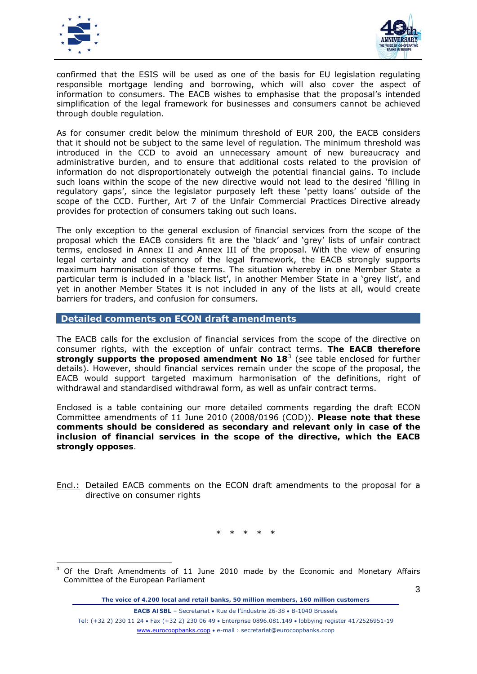



confirmed that the ESIS will be used as one of the basis for EU legislation regulating responsible mortgage lending and borrowing, which will also cover the aspect of information to consumers. The EACB wishes to emphasise that the proposal's intended simplification of the legal framework for businesses and consumers cannot be achieved through double regulation.

As for consumer credit below the minimum threshold of EUR 200, the EACB considers that it should not be subject to the same level of regulation. The minimum threshold was introduced in the CCD to avoid an unnecessary amount of new bureaucracy and administrative burden, and to ensure that additional costs related to the provision of information do not disproportionately outweigh the potential financial gains. To include such loans within the scope of the new directive would not lead to the desired 'filling in regulatory gaps', since the legislator purposely left these 'petty loans' outside of the scope of the CCD. Further, Art 7 of the Unfair Commercial Practices Directive already provides for protection of consumers taking out such loans.

The only exception to the general exclusion of financial services from the scope of the proposal which the EACB considers fit are the 'black' and 'grey' lists of unfair contract terms, enclosed in Annex II and Annex III of the proposal. With the view of ensuring legal certainty and consistency of the legal framework, the EACB strongly supports maximum harmonisation of those terms. The situation whereby in one Member State a particular term is included in a 'black list', in another Member State in a 'grey list', and yet in another Member States it is not included in any of the lists at all, would create barriers for traders, and confusion for consumers.

## **Detailed comments on ECON draft amendments**

The EACB calls for the exclusion of financial services from the scope of the directive on consumer rights, with the exception of unfair contract terms. **The EACB therefore strongly supports the proposed amendment No 18**[3](#page-2-0) (see table enclosed for further details). However, should financial services remain under the scope of the proposal, the EACB would support targeted maximum harmonisation of the definitions, right of withdrawal and standardised withdrawal form, as well as unfair contract terms.

Enclosed is a table containing our more detailed comments regarding the draft ECON Committee amendments of 11 June 2010 (2008/0196 (COD)). **Please note that these comments should be considered as secondary and relevant only in case of the inclusion of financial services in the scope of the directive, which the EACB strongly opposes**.

Encl.: Detailed EACB comments on the ECON draft amendments to the proposal for a directive on consumer rights

\* \* \* \* \*

*The voice of 4.200 local and retail banks, 50 million members, 160 million customers* 

**EACB AISBL** – Secretariat • Rue de l'Industrie 26-38 • B-1040 Brussels Tel: (+32 2) 230 11 24 • Fax (+32 2) 230 06 49 • Enterprise 0896.081.149 • lobbying register 4172526951-19 www.eurocoopbanks.coop e-mail : secretariat@eurocoopbanks.coop

<span id="page-2-0"></span>Of the Draft Amendments of 11 June 2010 made by the Economic and Monetary Affairs Committee of the European Parliament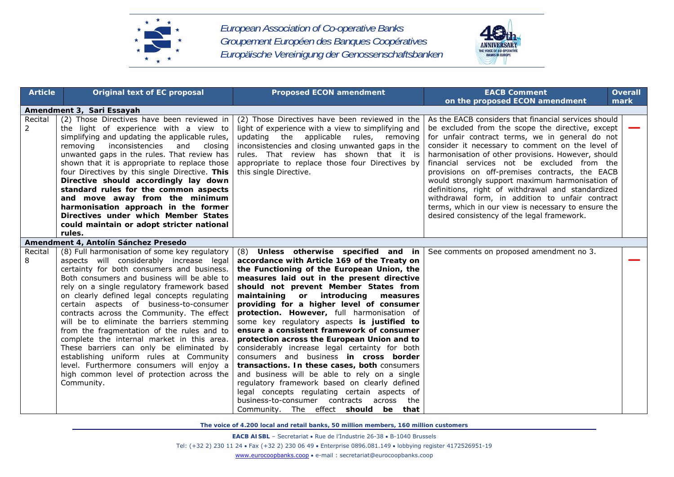



| <b>Article</b>          | <b>Original text of EC proposal</b>                                                                                                                                                                                                                                                                                                                                                                                                                                                                                                                                                                                                                                                                                      | <b>Proposed ECON amendment</b>                                                                                                                                                                                                                                                                                                                                                                                                                                                                                                                                                                                                                                                                                                                                                                                                                                                               | <b>EACB Comment</b><br>on the proposed ECON amendment                                                                                                                                                                                                                                                                                                                                                                                                                                                                                                                                                                                   | <b>Overall</b><br>mark |
|-------------------------|--------------------------------------------------------------------------------------------------------------------------------------------------------------------------------------------------------------------------------------------------------------------------------------------------------------------------------------------------------------------------------------------------------------------------------------------------------------------------------------------------------------------------------------------------------------------------------------------------------------------------------------------------------------------------------------------------------------------------|----------------------------------------------------------------------------------------------------------------------------------------------------------------------------------------------------------------------------------------------------------------------------------------------------------------------------------------------------------------------------------------------------------------------------------------------------------------------------------------------------------------------------------------------------------------------------------------------------------------------------------------------------------------------------------------------------------------------------------------------------------------------------------------------------------------------------------------------------------------------------------------------|-----------------------------------------------------------------------------------------------------------------------------------------------------------------------------------------------------------------------------------------------------------------------------------------------------------------------------------------------------------------------------------------------------------------------------------------------------------------------------------------------------------------------------------------------------------------------------------------------------------------------------------------|------------------------|
|                         | Amendment 3, Sari Essayah                                                                                                                                                                                                                                                                                                                                                                                                                                                                                                                                                                                                                                                                                                |                                                                                                                                                                                                                                                                                                                                                                                                                                                                                                                                                                                                                                                                                                                                                                                                                                                                                              |                                                                                                                                                                                                                                                                                                                                                                                                                                                                                                                                                                                                                                         |                        |
| Recital<br>$\mathbf{2}$ | (2) Those Directives have been reviewed in<br>the light of experience with a view to<br>simplifying and updating the applicable rules,<br>inconsistencies<br>removing<br>and<br>closing<br>unwanted gaps in the rules. That review has<br>shown that it is appropriate to replace those<br>four Directives by this single Directive. This<br>Directive should accordingly lay down<br>standard rules for the common aspects<br>and move away from the minimum<br>harmonisation approach in the former<br>Directives under which Member States<br>could maintain or adopt stricter national<br>rules.                                                                                                                     | (2) Those Directives have been reviewed in the<br>light of experience with a view to simplifying and<br>updating the applicable rules, removing<br>inconsistencies and closing unwanted gaps in the<br>rules. That review has shown that it is<br>appropriate to replace those four Directives by<br>this single Directive.                                                                                                                                                                                                                                                                                                                                                                                                                                                                                                                                                                  | As the EACB considers that financial services should<br>be excluded from the scope the directive, except<br>for unfair contract terms, we in general do not<br>consider it necessary to comment on the level of<br>harmonisation of other provisions. However, should<br>financial services not be excluded from the<br>provisions on off-premises contracts, the EACB<br>would strongly support maximum harmonisation of<br>definitions, right of withdrawal and standardized<br>withdrawal form, in addition to unfair contract<br>terms, which in our view is necessary to ensure the<br>desired consistency of the legal framework. |                        |
|                         | Amendment 4, Antolín Sánchez Presedo                                                                                                                                                                                                                                                                                                                                                                                                                                                                                                                                                                                                                                                                                     |                                                                                                                                                                                                                                                                                                                                                                                                                                                                                                                                                                                                                                                                                                                                                                                                                                                                                              |                                                                                                                                                                                                                                                                                                                                                                                                                                                                                                                                                                                                                                         |                        |
| Recital<br>8            | (8) Full harmonisation of some key regulatory<br>aspects will considerably increase legal<br>certainty for both consumers and business.<br>Both consumers and business will be able to<br>rely on a single regulatory framework based<br>on clearly defined legal concepts regulating<br>certain aspects of business-to-consumer<br>contracts across the Community. The effect<br>will be to eliminate the barriers stemming<br>from the fragmentation of the rules and to<br>complete the internal market in this area.<br>These barriers can only be eliminated by<br>establishing uniform rules at Community<br>level. Furthermore consumers will enjoy a<br>high common level of protection across the<br>Community. | (8) Unless otherwise specified and in<br>accordance with Article 169 of the Treaty on<br>the Functioning of the European Union, the<br>measures laid out in the present directive<br>should not prevent Member States from<br>maintaining or introducing<br>measures<br>providing for a higher level of consumer<br>protection. However, full harmonisation of<br>some key regulatory aspects is justified to<br>ensure a consistent framework of consumer<br>protection across the European Union and to<br>considerably increase legal certainty for both<br>consumers and business in cross border<br>transactions. In these cases, both consumers<br>and business will be able to rely on a single<br>regulatory framework based on clearly defined<br>legal concepts regulating certain aspects of<br>business-to-consumer contracts across the<br>Community. The effect should be that | See comments on proposed amendment no 3.                                                                                                                                                                                                                                                                                                                                                                                                                                                                                                                                                                                                |                        |

**EACB AISBL** – Secretariat • Rue de l'Industrie 26-38 • B-1040 Brussels Tel: (+32 2) 230 11 24 Fax (+32 2) 230 06 49 Enterprise 0896.081.149 lobbying register 4172526951-19 www.eurocoopbanks.coop e-mail : secretariat@eurocoopbanks.coop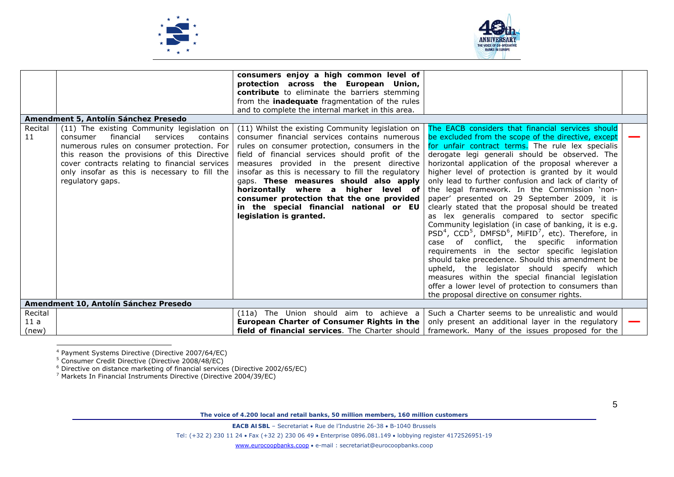



|                |                                                                                                                                                                                                                                                                                                                  | consumers enjoy a high common level of<br>protection across the European Union,<br>contribute to eliminate the barriers stemming<br>from the <b>inadequate</b> fragmentation of the rules<br>and to complete the internal market in this area.                                                                                                                                                                                                                                                                     |                                                                                                                                                                                                                                                                                                                                                                                                                                                                                                                                                                                                                                                                                                                                                                                                                                                                                                                                                                                                                                                                                                                        |  |
|----------------|------------------------------------------------------------------------------------------------------------------------------------------------------------------------------------------------------------------------------------------------------------------------------------------------------------------|--------------------------------------------------------------------------------------------------------------------------------------------------------------------------------------------------------------------------------------------------------------------------------------------------------------------------------------------------------------------------------------------------------------------------------------------------------------------------------------------------------------------|------------------------------------------------------------------------------------------------------------------------------------------------------------------------------------------------------------------------------------------------------------------------------------------------------------------------------------------------------------------------------------------------------------------------------------------------------------------------------------------------------------------------------------------------------------------------------------------------------------------------------------------------------------------------------------------------------------------------------------------------------------------------------------------------------------------------------------------------------------------------------------------------------------------------------------------------------------------------------------------------------------------------------------------------------------------------------------------------------------------------|--|
|                | Amendment 5, Antolín Sánchez Presedo                                                                                                                                                                                                                                                                             |                                                                                                                                                                                                                                                                                                                                                                                                                                                                                                                    |                                                                                                                                                                                                                                                                                                                                                                                                                                                                                                                                                                                                                                                                                                                                                                                                                                                                                                                                                                                                                                                                                                                        |  |
| Recital<br>11  | (11) The existing Community legislation on<br>financial<br>services<br>contains<br>consumer<br>numerous rules on consumer protection. For<br>this reason the provisions of this Directive<br>cover contracts relating to financial services<br>only insofar as this is necessary to fill the<br>regulatory gaps. | (11) Whilst the existing Community legislation on<br>consumer financial services contains numerous<br>rules on consumer protection, consumers in the<br>field of financial services should profit of the<br>measures provided in the present directive<br>insofar as this is necessary to fill the regulatory<br>gaps. These measures should also apply<br>horizontally where a higher level of<br>consumer protection that the one provided<br>in the special financial national or EU<br>legislation is granted. | The EACB considers that financial services should<br>be excluded from the scope of the directive, except<br>for unfair contract terms. The rule lex specialis<br>derogate legi generali should be observed. The<br>horizontal application of the proposal wherever a<br>higher level of protection is granted by it would<br>only lead to further confusion and lack of clarity of<br>the legal framework. In the Commission 'non-<br>paper' presented on 29 September 2009, it is<br>clearly stated that the proposal should be treated<br>as lex generalis compared to sector specific<br>Community legislation (in case of banking, it is e.g.<br>PSD <sup>4</sup> , CCD <sup>5</sup> , DMFSD <sup>6</sup> , MiFID <sup>7</sup> , etc). Therefore, in<br>case of conflict, the specific information<br>requirements in the sector specific legislation<br>should take precedence. Should this amendment be<br>upheld, the legislator should specify which<br>measures within the special financial legislation<br>offer a lower level of protection to consumers than<br>the proposal directive on consumer rights. |  |
|                | Amendment 10, Antolín Sánchez Presedo                                                                                                                                                                                                                                                                            |                                                                                                                                                                                                                                                                                                                                                                                                                                                                                                                    |                                                                                                                                                                                                                                                                                                                                                                                                                                                                                                                                                                                                                                                                                                                                                                                                                                                                                                                                                                                                                                                                                                                        |  |
| Recital<br>11a |                                                                                                                                                                                                                                                                                                                  | (11a) The Union should aim to achieve a<br>European Charter of Consumer Rights in the                                                                                                                                                                                                                                                                                                                                                                                                                              | Such a Charter seems to be unrealistic and would<br>only present an additional layer in the regulatory                                                                                                                                                                                                                                                                                                                                                                                                                                                                                                                                                                                                                                                                                                                                                                                                                                                                                                                                                                                                                 |  |
| (new)          |                                                                                                                                                                                                                                                                                                                  | field of financial services. The Charter should I                                                                                                                                                                                                                                                                                                                                                                                                                                                                  | framework. Many of the issues proposed for the                                                                                                                                                                                                                                                                                                                                                                                                                                                                                                                                                                                                                                                                                                                                                                                                                                                                                                                                                                                                                                                                         |  |

4 Payment Systems Directive (Directive 2007/64/EC)

<span id="page-4-1"></span><span id="page-4-0"></span><sup>5</sup> Consumer Credit Directive (Directive 2008/48/EC)

<span id="page-4-3"></span><span id="page-4-2"></span> $6$  Directive on distance marketing of financial services (Directive 2002/65/EC)

<sup>7</sup> Markets In Financial Instruments Directive (Directive 2004/39/EC)

*The voice of 4.200 local and retail banks, 50 million members, 160 million customers* 

**EACB AISBL** – Secretariat • Rue de l'Industrie 26-38 • B-1040 Brussels

Tel: (+32 2) 230 11 24 Fax (+32 2) 230 06 49 Enterprise 0896.081.149 lobbying register 4172526951-19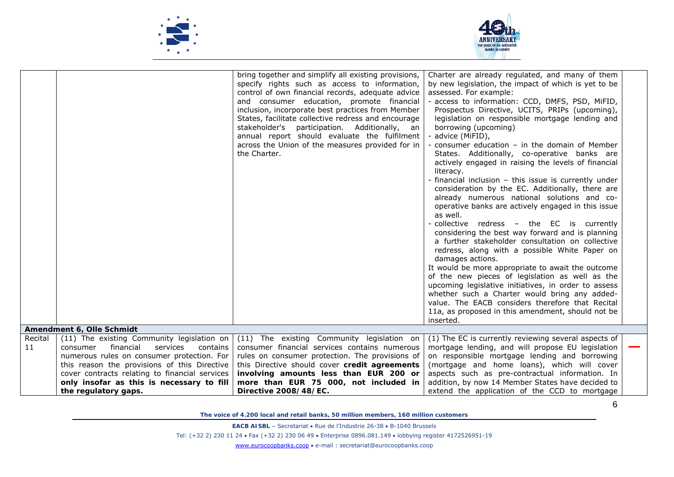



|               |                                                                                                                                                                                                                                                                                                                  | bring together and simplify all existing provisions,<br>specify rights such as access to information,<br>control of own financial records, adequate advice<br>and consumer education, promote financial<br>inclusion, incorporate best practices from Member<br>States, facilitate collective redress and encourage<br>stakeholder's participation. Additionally, an<br>annual report should evaluate the fulfilment<br>across the Union of the measures provided for in<br>the Charter. | Charter are already regulated, and many of them<br>by new legislation, the impact of which is yet to be<br>assessed. For example:<br>- access to information: CCD, DMFS, PSD, MiFID,<br>Prospectus Directive, UCITS, PRIPs (upcoming),<br>legislation on responsible mortgage lending and<br>borrowing (upcoming)<br>advice (MiFID),<br>consumer education $-$ in the domain of Member<br>States. Additionally, co-operative banks are<br>actively engaged in raising the levels of financial<br>literacy.<br>- financial inclusion - this issue is currently under<br>consideration by the EC. Additionally, there are<br>already numerous national solutions and co-<br>operative banks are actively engaged in this issue<br>as well.<br>collective redress - the EC is currently<br>considering the best way forward and is planning<br>a further stakeholder consultation on collective<br>redress, along with a possible White Paper on<br>damages actions.<br>It would be more appropriate to await the outcome<br>of the new pieces of legislation as well as the<br>upcoming legislative initiatives, in order to assess<br>whether such a Charter would bring any added-<br>value. The EACB considers therefore that Recital<br>11a, as proposed in this amendment, should not be<br>inserted. |  |
|---------------|------------------------------------------------------------------------------------------------------------------------------------------------------------------------------------------------------------------------------------------------------------------------------------------------------------------|------------------------------------------------------------------------------------------------------------------------------------------------------------------------------------------------------------------------------------------------------------------------------------------------------------------------------------------------------------------------------------------------------------------------------------------------------------------------------------------|----------------------------------------------------------------------------------------------------------------------------------------------------------------------------------------------------------------------------------------------------------------------------------------------------------------------------------------------------------------------------------------------------------------------------------------------------------------------------------------------------------------------------------------------------------------------------------------------------------------------------------------------------------------------------------------------------------------------------------------------------------------------------------------------------------------------------------------------------------------------------------------------------------------------------------------------------------------------------------------------------------------------------------------------------------------------------------------------------------------------------------------------------------------------------------------------------------------------------------------------------------------------------------------------------------|--|
|               | Amendment 6, Olle Schmidt                                                                                                                                                                                                                                                                                        |                                                                                                                                                                                                                                                                                                                                                                                                                                                                                          |                                                                                                                                                                                                                                                                                                                                                                                                                                                                                                                                                                                                                                                                                                                                                                                                                                                                                                                                                                                                                                                                                                                                                                                                                                                                                                          |  |
| Recital<br>11 | (11) The existing Community legislation on<br>financial<br>services<br>contains<br>consumer<br>numerous rules on consumer protection. For<br>this reason the provisions of this Directive<br>cover contracts relating to financial services<br>only insofar as this is necessary to fill<br>the regulatory gaps. | (11) The existing Community legislation on<br>consumer financial services contains numerous<br>rules on consumer protection. The provisions of<br>this Directive should cover credit agreements<br>involving amounts less than EUR 200 or<br>more than EUR 75 000, not included in<br>Directive 2008/48/EC.                                                                                                                                                                              | (1) The EC is currently reviewing several aspects of<br>mortgage lending, and will propose EU legislation<br>on responsible mortgage lending and borrowing<br>(mortgage and home loans), which will cover<br>aspects such as pre-contractual information. In<br>addition, by now 14 Member States have decided to<br>extend the application of the CCD to mortgage                                                                                                                                                                                                                                                                                                                                                                                                                                                                                                                                                                                                                                                                                                                                                                                                                                                                                                                                       |  |
|               |                                                                                                                                                                                                                                                                                                                  |                                                                                                                                                                                                                                                                                                                                                                                                                                                                                          |                                                                                                                                                                                                                                                                                                                                                                                                                                                                                                                                                                                                                                                                                                                                                                                                                                                                                                                                                                                                                                                                                                                                                                                                                                                                                                          |  |

*The voice of 4.200 local and retail banks, 50 million members, 160 million customers* 

**EACB AISBL** – Secretariat • Rue de l'Industrie 26-38 • B-1040 Brussels

Tel: (+32 2) 230 11 24 Fax (+32 2) 230 06 49 Enterprise 0896.081.149 lobbying register 4172526951-19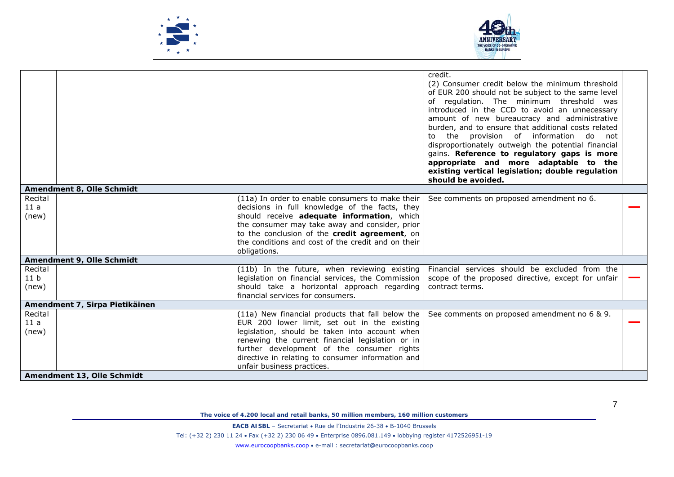



|                 |                                |                                                                                              | credit.<br>(2) Consumer credit below the minimum threshold<br>of EUR 200 should not be subject to the same level<br>of regulation. The minimum threshold was<br>introduced in the CCD to avoid an unnecessary<br>amount of new bureaucracy and administrative<br>burden, and to ensure that additional costs related<br>to the provision of information do not<br>disproportionately outweigh the potential financial<br>gains. Reference to regulatory gaps is more<br>appropriate and more adaptable to the<br>existing vertical legislation; double regulation<br>should be avoided. |  |
|-----------------|--------------------------------|----------------------------------------------------------------------------------------------|-----------------------------------------------------------------------------------------------------------------------------------------------------------------------------------------------------------------------------------------------------------------------------------------------------------------------------------------------------------------------------------------------------------------------------------------------------------------------------------------------------------------------------------------------------------------------------------------|--|
|                 | Amendment 8, Olle Schmidt      |                                                                                              |                                                                                                                                                                                                                                                                                                                                                                                                                                                                                                                                                                                         |  |
| Recital         |                                | (11a) In order to enable consumers to make their                                             | See comments on proposed amendment no 6.                                                                                                                                                                                                                                                                                                                                                                                                                                                                                                                                                |  |
| 11a             |                                | decisions in full knowledge of the facts, they<br>should receive adequate information, which |                                                                                                                                                                                                                                                                                                                                                                                                                                                                                                                                                                                         |  |
| (new)           |                                | the consumer may take away and consider, prior                                               |                                                                                                                                                                                                                                                                                                                                                                                                                                                                                                                                                                                         |  |
|                 |                                | to the conclusion of the credit agreement, on                                                |                                                                                                                                                                                                                                                                                                                                                                                                                                                                                                                                                                                         |  |
|                 |                                | the conditions and cost of the credit and on their                                           |                                                                                                                                                                                                                                                                                                                                                                                                                                                                                                                                                                                         |  |
|                 |                                | obligations.                                                                                 |                                                                                                                                                                                                                                                                                                                                                                                                                                                                                                                                                                                         |  |
|                 | Amendment 9, Olle Schmidt      |                                                                                              |                                                                                                                                                                                                                                                                                                                                                                                                                                                                                                                                                                                         |  |
| Recital         |                                | (11b) In the future, when reviewing existing                                                 | Financial services should be excluded from the                                                                                                                                                                                                                                                                                                                                                                                                                                                                                                                                          |  |
| 11 <sub>b</sub> |                                | legislation on financial services, the Commission                                            | scope of the proposed directive, except for unfair                                                                                                                                                                                                                                                                                                                                                                                                                                                                                                                                      |  |
| (new)           |                                | should take a horizontal approach regarding                                                  | contract terms.                                                                                                                                                                                                                                                                                                                                                                                                                                                                                                                                                                         |  |
|                 |                                | financial services for consumers.                                                            |                                                                                                                                                                                                                                                                                                                                                                                                                                                                                                                                                                                         |  |
|                 | Amendment 7, Sirpa Pietikäinen |                                                                                              |                                                                                                                                                                                                                                                                                                                                                                                                                                                                                                                                                                                         |  |
| Recital         |                                | (11a) New financial products that fall below the                                             | See comments on proposed amendment no 6 & 9.                                                                                                                                                                                                                                                                                                                                                                                                                                                                                                                                            |  |
| 11a             |                                | EUR 200 lower limit, set out in the existing                                                 |                                                                                                                                                                                                                                                                                                                                                                                                                                                                                                                                                                                         |  |
| (new)           |                                | legislation, should be taken into account when                                               |                                                                                                                                                                                                                                                                                                                                                                                                                                                                                                                                                                                         |  |
|                 |                                | renewing the current financial legislation or in                                             |                                                                                                                                                                                                                                                                                                                                                                                                                                                                                                                                                                                         |  |
|                 |                                | further development of the consumer rights                                                   |                                                                                                                                                                                                                                                                                                                                                                                                                                                                                                                                                                                         |  |
|                 |                                | directive in relating to consumer information and                                            |                                                                                                                                                                                                                                                                                                                                                                                                                                                                                                                                                                                         |  |
|                 |                                | unfair business practices.                                                                   |                                                                                                                                                                                                                                                                                                                                                                                                                                                                                                                                                                                         |  |
|                 | Amendment 13, Olle Schmidt     |                                                                                              |                                                                                                                                                                                                                                                                                                                                                                                                                                                                                                                                                                                         |  |

*The voice of 4.200 local and retail banks, 50 million members, 160 million customers* 

**EACB AISBL** – Secretariat • Rue de l'Industrie 26-38 • B-1040 Brussels

Tel: (+32 2) 230 11 24 Fax (+32 2) 230 06 49 Enterprise 0896.081.149 lobbying register 4172526951-19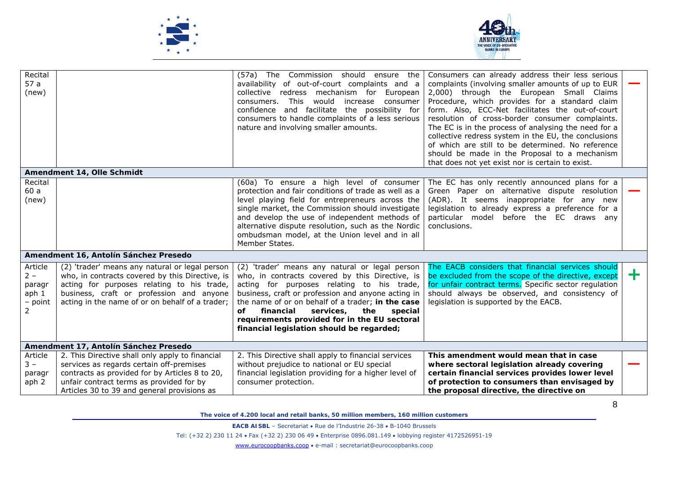



| Recital<br>57a<br>(new)                                                     |                                                                                                                                                                                                                                                | (57a) The Commission should ensure the<br>availability of out-of-court complaints and a<br>collective redress mechanism for<br>European<br>consumers. This would<br>increase consumer<br>confidence and facilitate the possibility for<br>consumers to handle complaints of a less serious<br>nature and involving smaller amounts.                                                                       | Consumers can already address their less serious<br>complaints (involving smaller amounts of up to EUR<br>2,000) through the European Small Claims<br>Procedure, which provides for a standard claim<br>form. Also, ECC-Net facilitates the out-of-court<br>resolution of cross-border consumer complaints.<br>The EC is in the process of analysing the need for a<br>collective redress system in the EU, the conclusions<br>of which are still to be determined. No reference<br>should be made in the Proposal to a mechanism<br>that does not yet exist nor is certain to exist. |   |
|-----------------------------------------------------------------------------|------------------------------------------------------------------------------------------------------------------------------------------------------------------------------------------------------------------------------------------------|-----------------------------------------------------------------------------------------------------------------------------------------------------------------------------------------------------------------------------------------------------------------------------------------------------------------------------------------------------------------------------------------------------------|---------------------------------------------------------------------------------------------------------------------------------------------------------------------------------------------------------------------------------------------------------------------------------------------------------------------------------------------------------------------------------------------------------------------------------------------------------------------------------------------------------------------------------------------------------------------------------------|---|
|                                                                             | Amendment 14, Olle Schmidt                                                                                                                                                                                                                     |                                                                                                                                                                                                                                                                                                                                                                                                           |                                                                                                                                                                                                                                                                                                                                                                                                                                                                                                                                                                                       |   |
| Recital<br>60 a<br>(new)                                                    |                                                                                                                                                                                                                                                | (60a) To ensure a high level of consumer<br>protection and fair conditions of trade as well as a<br>level playing field for entrepreneurs across the<br>single market, the Commission should investigate<br>and develop the use of independent methods of<br>alternative dispute resolution, such as the Nordic<br>ombudsman model, at the Union level and in all<br>Member States.                       | The EC has only recently announced plans for a<br>Green Paper on alternative dispute resolution<br>(ADR). It seems inappropriate for any new<br>legislation to already express a preference for a<br>particular model before the EC draws any<br>conclusions.                                                                                                                                                                                                                                                                                                                         |   |
|                                                                             | Amendment 16, Antolín Sánchez Presedo                                                                                                                                                                                                          |                                                                                                                                                                                                                                                                                                                                                                                                           |                                                                                                                                                                                                                                                                                                                                                                                                                                                                                                                                                                                       |   |
| Article<br>$2 -$<br>paragr<br>aph <sub>1</sub><br>- point<br>$\overline{2}$ | (2) 'trader' means any natural or legal person<br>who, in contracts covered by this Directive, is<br>acting for purposes relating to his trade,<br>business, craft or profession and anyone<br>acting in the name of or on behalf of a trader; | (2) 'trader' means any natural or legal person<br>who, in contracts covered by this Directive, is<br>acting for purposes relating to his trade,<br>business, craft or profession and anyone acting in<br>the name of or on behalf of a trader; in the case<br>financial<br>services.<br>the<br>оf<br>special<br>requirements provided for in the EU sectoral<br>financial legislation should be regarded; | The EACB considers that financial services should<br>be excluded from the scope of the directive, except<br>for unfair contract terms. Specific sector regulation<br>should always be observed, and consistency of<br>legislation is supported by the EACB.                                                                                                                                                                                                                                                                                                                           | ÷ |
|                                                                             | Amendment 17, Antolín Sánchez Presedo                                                                                                                                                                                                          |                                                                                                                                                                                                                                                                                                                                                                                                           |                                                                                                                                                                                                                                                                                                                                                                                                                                                                                                                                                                                       |   |
| Article<br>$3 -$<br>paragr<br>aph 2                                         | 2. This Directive shall only apply to financial<br>services as regards certain off-premises<br>contracts as provided for by Articles 8 to 20,<br>unfair contract terms as provided for by<br>Articles 30 to 39 and general provisions as       | 2. This Directive shall apply to financial services<br>without prejudice to national or EU special<br>financial legislation providing for a higher level of<br>consumer protection.                                                                                                                                                                                                                       | This amendment would mean that in case<br>where sectoral legislation already covering<br>certain financial services provides lower level<br>of protection to consumers than envisaged by<br>the proposal directive, the directive on                                                                                                                                                                                                                                                                                                                                                  |   |

**EACB AISBL** – Secretariat • Rue de l'Industrie 26-38 • B-1040 Brussels

Tel: (+32 2) 230 11 24 Fax (+32 2) 230 06 49 Enterprise 0896.081.149 lobbying register 4172526951-19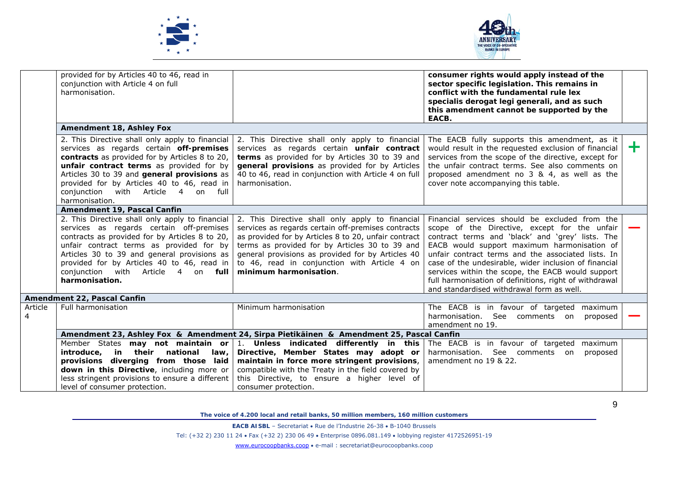



|              | provided for by Articles 40 to 46, read in<br>conjunction with Article 4 on full<br>harmonisation.                                                                                                                                                                                          |                                                                                                                                                                                                                                                                                                                                                                                                | consumer rights would apply instead of the<br>sector specific legislation. This remains in<br>conflict with the fundamental rule lex<br>specialis derogat legi generali, and as such<br>this amendment cannot be supported by the<br>EACB.                                                                                                                                                                                                                                    |       |
|--------------|---------------------------------------------------------------------------------------------------------------------------------------------------------------------------------------------------------------------------------------------------------------------------------------------|------------------------------------------------------------------------------------------------------------------------------------------------------------------------------------------------------------------------------------------------------------------------------------------------------------------------------------------------------------------------------------------------|-------------------------------------------------------------------------------------------------------------------------------------------------------------------------------------------------------------------------------------------------------------------------------------------------------------------------------------------------------------------------------------------------------------------------------------------------------------------------------|-------|
|              | Amendment 18, Ashley Fox                                                                                                                                                                                                                                                                    |                                                                                                                                                                                                                                                                                                                                                                                                |                                                                                                                                                                                                                                                                                                                                                                                                                                                                               |       |
|              | services as regards certain off-premises<br>contracts as provided for by Articles 8 to 20,<br>unfair contract terms as provided for by<br>Articles 30 to 39 and general provisions as<br>provided for by Articles 40 to 46, read in<br>conjunction with Article 4 on full<br>harmonisation. | 2. This Directive shall only apply to financial $\vert$ 2. This Directive shall only apply to financial<br>services as regards certain unfair contract<br>terms as provided for by Articles 30 to 39 and<br>general provisions as provided for by Articles<br>40 to 46, read in conjunction with Article 4 on full<br>harmonisation.                                                           | The EACB fully supports this amendment, as it<br>would result in the requested exclusion of financial<br>services from the scope of the directive, except for<br>the unfair contract terms. See also comments on<br>proposed amendment no 3 & 4, as well as the<br>cover note accompanying this table.                                                                                                                                                                        | $\pm$ |
|              | Amendment 19, Pascal Canfin                                                                                                                                                                                                                                                                 |                                                                                                                                                                                                                                                                                                                                                                                                |                                                                                                                                                                                                                                                                                                                                                                                                                                                                               |       |
|              | services as regards certain off-premises<br>contracts as provided for by Articles 8 to 20,<br>unfair contract terms as provided for by<br>Articles 30 to 39 and general provisions as<br>provided for by Articles 40 to 46, read in<br>conjunction with Article 4 on full<br>harmonisation. | 2. This Directive shall only apply to financial 2. This Directive shall only apply to financial<br>services as regards certain off-premises contracts<br>as provided for by Articles 8 to 20, unfair contract<br>terms as provided for by Articles 30 to 39 and<br>general provisions as provided for by Articles 40<br>to 46, read in conjunction with Article 4 on<br>minimum harmonisation. | Financial services should be excluded from the<br>scope of the Directive, except for the unfair<br>contract terms and 'black' and 'grey' lists. The<br>EACB would support maximum harmonisation of<br>unfair contract terms and the associated lists. In<br>case of the undesirable, wider inclusion of financial<br>services within the scope, the EACB would support<br>full harmonisation of definitions, right of withdrawal<br>and standardised withdrawal form as well. |       |
|              | Amendment 22, Pascal Canfin                                                                                                                                                                                                                                                                 |                                                                                                                                                                                                                                                                                                                                                                                                |                                                                                                                                                                                                                                                                                                                                                                                                                                                                               |       |
| Article<br>4 | Full harmonisation                                                                                                                                                                                                                                                                          | Minimum harmonisation                                                                                                                                                                                                                                                                                                                                                                          | The EACB is in favour of targeted maximum<br>harmonisation. See comments on<br>proposed<br>amendment no 19.                                                                                                                                                                                                                                                                                                                                                                   |       |
|              |                                                                                                                                                                                                                                                                                             | Amendment 23, Ashley Fox & Amendment 24, Sirpa Pietikäinen & Amendment 25, Pascal Canfin                                                                                                                                                                                                                                                                                                       |                                                                                                                                                                                                                                                                                                                                                                                                                                                                               |       |
|              | introduce, in their national<br>law. I<br>provisions diverging from those laid<br>down in this Directive, including more or<br>less stringent provisions to ensure a different  <br>level of consumer protection.                                                                           | Member States may not maintain or 1. Unless indicated differently in this<br>Directive, Member States may adopt or<br>maintain in force more stringent provisions,<br>compatible with the Treaty in the field covered by<br>this Directive, to ensure a higher level of<br>consumer protection.                                                                                                | The EACB is in favour of targeted<br>maximum<br>harmonisation. See comments on<br>proposed<br>amendment no 19 & 22.                                                                                                                                                                                                                                                                                                                                                           |       |

*The voice of 4.200 local and retail banks, 50 million members, 160 million customers* 

**EACB AISBL** – Secretariat • Rue de l'Industrie 26-38 • B-1040 Brussels

Tel: (+32 2) 230 11 24 Fax (+32 2) 230 06 49 Enterprise 0896.081.149 lobbying register 4172526951-19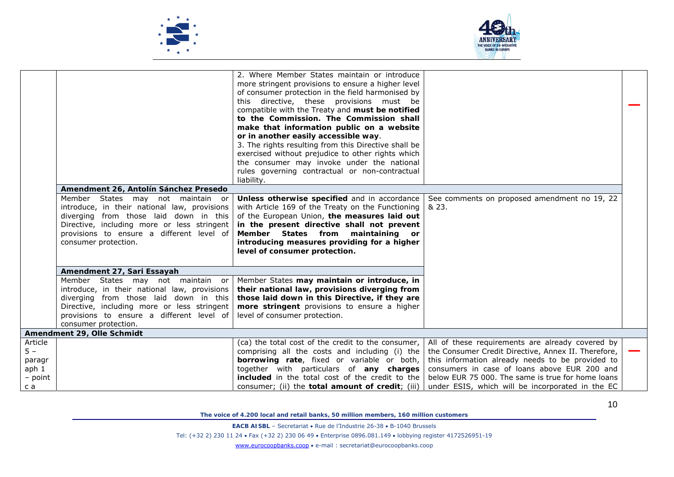



|         | Amendment 26, Antolín Sánchez Presedo<br>Member States may not maintain or<br>introduce, in their national law, provisions<br>diverging from those laid down in this<br>Directive, including more or less stringent<br>provisions to ensure a different level of | 2. Where Member States maintain or introduce<br>more stringent provisions to ensure a higher level<br>of consumer protection in the field harmonised by<br>this directive, these provisions must be<br>compatible with the Treaty and must be notified<br>to the Commission. The Commission shall<br>make that information public on a website<br>or in another easily accessible way.<br>3. The rights resulting from this Directive shall be<br>exercised without prejudice to other rights which<br>the consumer may invoke under the national<br>rules governing contractual or non-contractual<br>liability.<br>Unless otherwise specified and in accordance<br>with Article 169 of the Treaty on the Functioning<br>of the European Union, the measures laid out<br>in the present directive shall not prevent<br>Member States from maintaining<br><b>or</b> | See comments on proposed amendment no 19, 22<br>& 23. |  |
|---------|------------------------------------------------------------------------------------------------------------------------------------------------------------------------------------------------------------------------------------------------------------------|---------------------------------------------------------------------------------------------------------------------------------------------------------------------------------------------------------------------------------------------------------------------------------------------------------------------------------------------------------------------------------------------------------------------------------------------------------------------------------------------------------------------------------------------------------------------------------------------------------------------------------------------------------------------------------------------------------------------------------------------------------------------------------------------------------------------------------------------------------------------|-------------------------------------------------------|--|
|         | consumer protection.                                                                                                                                                                                                                                             | introducing measures providing for a higher                                                                                                                                                                                                                                                                                                                                                                                                                                                                                                                                                                                                                                                                                                                                                                                                                         |                                                       |  |
|         |                                                                                                                                                                                                                                                                  | level of consumer protection.                                                                                                                                                                                                                                                                                                                                                                                                                                                                                                                                                                                                                                                                                                                                                                                                                                       |                                                       |  |
|         | Amendment 27, Sari Essayah                                                                                                                                                                                                                                       |                                                                                                                                                                                                                                                                                                                                                                                                                                                                                                                                                                                                                                                                                                                                                                                                                                                                     |                                                       |  |
|         | Member States may not maintain or                                                                                                                                                                                                                                | Member States may maintain or introduce, in                                                                                                                                                                                                                                                                                                                                                                                                                                                                                                                                                                                                                                                                                                                                                                                                                         |                                                       |  |
|         | introduce, in their national law, provisions<br>diverging from those laid down in this                                                                                                                                                                           | their national law, provisions diverging from<br>those laid down in this Directive, if they are                                                                                                                                                                                                                                                                                                                                                                                                                                                                                                                                                                                                                                                                                                                                                                     |                                                       |  |
|         | Directive, including more or less stringent                                                                                                                                                                                                                      | more stringent provisions to ensure a higher                                                                                                                                                                                                                                                                                                                                                                                                                                                                                                                                                                                                                                                                                                                                                                                                                        |                                                       |  |
|         | provisions to ensure a different level of                                                                                                                                                                                                                        | level of consumer protection.                                                                                                                                                                                                                                                                                                                                                                                                                                                                                                                                                                                                                                                                                                                                                                                                                                       |                                                       |  |
|         | consumer protection.                                                                                                                                                                                                                                             |                                                                                                                                                                                                                                                                                                                                                                                                                                                                                                                                                                                                                                                                                                                                                                                                                                                                     |                                                       |  |
| Article | Amendment 29, Olle Schmidt                                                                                                                                                                                                                                       | (ca) the total cost of the credit to the consumer,                                                                                                                                                                                                                                                                                                                                                                                                                                                                                                                                                                                                                                                                                                                                                                                                                  | All of these requirements are already covered by      |  |
| $5 -$   |                                                                                                                                                                                                                                                                  | comprising all the costs and including (i) the                                                                                                                                                                                                                                                                                                                                                                                                                                                                                                                                                                                                                                                                                                                                                                                                                      | the Consumer Credit Directive, Annex II. Therefore,   |  |
| paragr  |                                                                                                                                                                                                                                                                  | borrowing rate, fixed or variable or both,                                                                                                                                                                                                                                                                                                                                                                                                                                                                                                                                                                                                                                                                                                                                                                                                                          | this information already needs to be provided to      |  |
| aph 1   |                                                                                                                                                                                                                                                                  | together with particulars of any charges                                                                                                                                                                                                                                                                                                                                                                                                                                                                                                                                                                                                                                                                                                                                                                                                                            | consumers in case of loans above EUR 200 and          |  |
| – point |                                                                                                                                                                                                                                                                  | included in the total cost of the credit to the                                                                                                                                                                                                                                                                                                                                                                                                                                                                                                                                                                                                                                                                                                                                                                                                                     | below EUR 75 000. The same is true for home loans     |  |
| c a     |                                                                                                                                                                                                                                                                  | consumer; (ii) the total amount of credit; (iii)                                                                                                                                                                                                                                                                                                                                                                                                                                                                                                                                                                                                                                                                                                                                                                                                                    | under ESIS, which will be incorporated in the EC      |  |

10

**EACB AISBL** – Secretariat • Rue de l'Industrie 26-38 • B-1040 Brussels

Tel: (+32 2) 230 11 24 Fax (+32 2) 230 06 49 Enterprise 0896.081.149 lobbying register 4172526951-19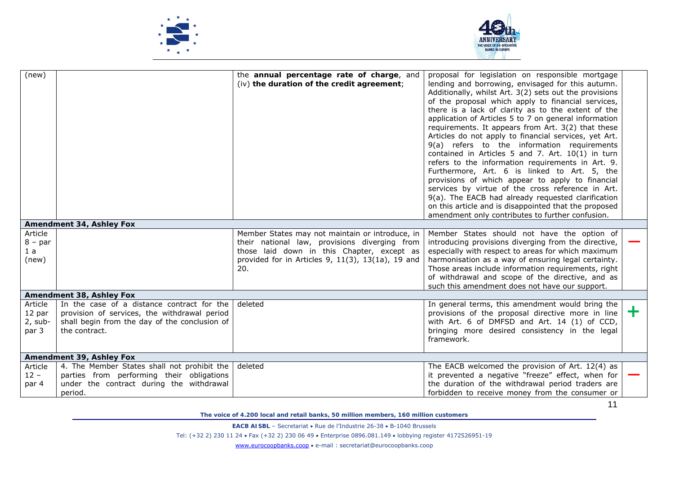



| (new)                                    |                                                                                                                                                              | the annual percentage rate of charge, and<br>(iv) the duration of the credit agreement;                                                                       | proposal for legislation on responsible mortgage<br>lending and borrowing, envisaged for this autumn.<br>Additionally, whilst Art. 3(2) sets out the provisions<br>of the proposal which apply to financial services,<br>there is a lack of clarity as to the extent of the<br>application of Articles 5 to 7 on general information<br>requirements. It appears from Art. 3(2) that these<br>Articles do not apply to financial services, yet Art.<br>9(a) refers to the information requirements<br>contained in Articles 5 and 7. Art. 10(1) in turn<br>refers to the information requirements in Art. 9.<br>Furthermore, Art. 6 is linked to Art. 5, the<br>provisions of which appear to apply to financial<br>services by virtue of the cross reference in Art.<br>9(a). The EACB had already requested clarification<br>on this article and is disappointed that the proposed<br>amendment only contributes to further confusion. |    |
|------------------------------------------|--------------------------------------------------------------------------------------------------------------------------------------------------------------|---------------------------------------------------------------------------------------------------------------------------------------------------------------|------------------------------------------------------------------------------------------------------------------------------------------------------------------------------------------------------------------------------------------------------------------------------------------------------------------------------------------------------------------------------------------------------------------------------------------------------------------------------------------------------------------------------------------------------------------------------------------------------------------------------------------------------------------------------------------------------------------------------------------------------------------------------------------------------------------------------------------------------------------------------------------------------------------------------------------|----|
|                                          | Amendment 34, Ashley Fox                                                                                                                                     |                                                                                                                                                               |                                                                                                                                                                                                                                                                                                                                                                                                                                                                                                                                                                                                                                                                                                                                                                                                                                                                                                                                          |    |
| Article                                  |                                                                                                                                                              | Member States may not maintain or introduce, in                                                                                                               | Member States should not have the option of                                                                                                                                                                                                                                                                                                                                                                                                                                                                                                                                                                                                                                                                                                                                                                                                                                                                                              |    |
| $8 - par$<br>1a<br>(new)                 |                                                                                                                                                              | their national law, provisions diverging from<br>those laid down in this Chapter, except as<br>provided for in Articles 9, $11(3)$ , $13(1a)$ , 19 and<br>20. | introducing provisions diverging from the directive,<br>especially with respect to areas for which maximum<br>harmonisation as a way of ensuring legal certainty.<br>Those areas include information requirements, right<br>of withdrawal and scope of the directive, and as<br>such this amendment does not have our support.                                                                                                                                                                                                                                                                                                                                                                                                                                                                                                                                                                                                           |    |
|                                          | Amendment 38, Ashley Fox                                                                                                                                     |                                                                                                                                                               |                                                                                                                                                                                                                                                                                                                                                                                                                                                                                                                                                                                                                                                                                                                                                                                                                                                                                                                                          |    |
| Article<br>12 par<br>$2$ , sub-<br>par 3 | In the case of a distance contract for the<br>provision of services, the withdrawal period<br>shall begin from the day of the conclusion of<br>the contract. | deleted                                                                                                                                                       | In general terms, this amendment would bring the<br>provisions of the proposal directive more in line<br>with Art. 6 of DMFSD and Art. 14 (1) of CCD,<br>bringing more desired consistency in the legal<br>framework.                                                                                                                                                                                                                                                                                                                                                                                                                                                                                                                                                                                                                                                                                                                    | ÷. |
|                                          | Amendment 39, Ashley Fox                                                                                                                                     |                                                                                                                                                               |                                                                                                                                                                                                                                                                                                                                                                                                                                                                                                                                                                                                                                                                                                                                                                                                                                                                                                                                          |    |
| Article<br>$12 -$<br>par 4               | 4. The Member States shall not prohibit the<br>parties from performing their obligations<br>under the contract during the withdrawal<br>period.              | deleted                                                                                                                                                       | The EACB welcomed the provision of Art. 12(4) as<br>it prevented a negative "freeze" effect, when for<br>the duration of the withdrawal period traders are<br>forbidden to receive money from the consumer or                                                                                                                                                                                                                                                                                                                                                                                                                                                                                                                                                                                                                                                                                                                            |    |

*The voice of 4.200 local and retail banks, 50 million members, 160 million customers* 

**EACB AISBL** – Secretariat • Rue de l'Industrie 26-38 • B-1040 Brussels

Tel: (+32 2) 230 11 24 Fax (+32 2) 230 06 49 Enterprise 0896.081.149 lobbying register 4172526951-19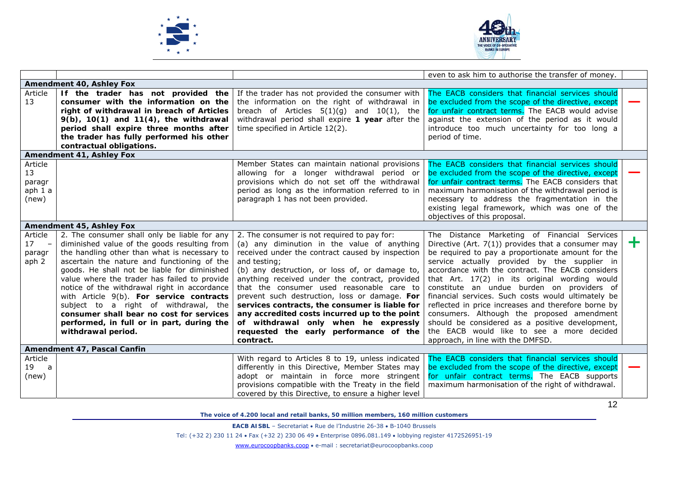



|                                                              |                                                                                                                                                                                                                                                                                                                                                                                                                                                                                                                                                 |                                                                                                                                                                                                                                                                                                                                                                                                                                                                                                                                                                    | even to ask him to authorise the transfer of money.                                                                                                                                                                                                                                                                                                                                                                                                                                                                                                                                                                                                           |   |
|--------------------------------------------------------------|-------------------------------------------------------------------------------------------------------------------------------------------------------------------------------------------------------------------------------------------------------------------------------------------------------------------------------------------------------------------------------------------------------------------------------------------------------------------------------------------------------------------------------------------------|--------------------------------------------------------------------------------------------------------------------------------------------------------------------------------------------------------------------------------------------------------------------------------------------------------------------------------------------------------------------------------------------------------------------------------------------------------------------------------------------------------------------------------------------------------------------|---------------------------------------------------------------------------------------------------------------------------------------------------------------------------------------------------------------------------------------------------------------------------------------------------------------------------------------------------------------------------------------------------------------------------------------------------------------------------------------------------------------------------------------------------------------------------------------------------------------------------------------------------------------|---|
|                                                              | Amendment 40, Ashley Fox                                                                                                                                                                                                                                                                                                                                                                                                                                                                                                                        |                                                                                                                                                                                                                                                                                                                                                                                                                                                                                                                                                                    |                                                                                                                                                                                                                                                                                                                                                                                                                                                                                                                                                                                                                                                               |   |
| Article<br>13                                                | If the trader has not provided the<br>consumer with the information on the<br>right of withdrawal in breach of Articles<br>$9(b)$ , $10(1)$ and $11(4)$ , the withdrawal<br>period shall expire three months after<br>the trader has fully performed his other<br>contractual obligations.                                                                                                                                                                                                                                                      | If the trader has not provided the consumer with<br>the information on the right of withdrawal in<br>breach of Articles $5(1)(g)$ and $10(1)$ , the<br>withdrawal period shall expire 1 year after the<br>time specified in Article 12(2).                                                                                                                                                                                                                                                                                                                         | The EACB considers that financial services should<br>be excluded from the scope of the directive, except<br>for unfair contract terms. The EACB would advise<br>against the extension of the period as it would<br>introduce too much uncertainty for too long a<br>period of time.                                                                                                                                                                                                                                                                                                                                                                           |   |
|                                                              | Amendment 41, Ashley Fox                                                                                                                                                                                                                                                                                                                                                                                                                                                                                                                        |                                                                                                                                                                                                                                                                                                                                                                                                                                                                                                                                                                    |                                                                                                                                                                                                                                                                                                                                                                                                                                                                                                                                                                                                                                                               |   |
| Article<br>13<br>paragr<br>aph 1 a<br>(new)                  |                                                                                                                                                                                                                                                                                                                                                                                                                                                                                                                                                 | Member States can maintain national provisions<br>allowing for a longer withdrawal period or<br>provisions which do not set off the withdrawal<br>period as long as the information referred to in<br>paragraph 1 has not been provided.                                                                                                                                                                                                                                                                                                                           | The EACB considers that financial services should<br>be excluded from the scope of the directive, except<br>for unfair contract terms. The EACB considers that<br>maximum harmonisation of the withdrawal period is<br>necessary to address the fragmentation in the<br>existing legal framework, which was one of the<br>objectives of this proposal.                                                                                                                                                                                                                                                                                                        |   |
|                                                              | Amendment 45, Ashley Fox                                                                                                                                                                                                                                                                                                                                                                                                                                                                                                                        |                                                                                                                                                                                                                                                                                                                                                                                                                                                                                                                                                                    |                                                                                                                                                                                                                                                                                                                                                                                                                                                                                                                                                                                                                                                               |   |
| Article<br>17<br>$\overline{\phantom{a}}$<br>paragr<br>aph 2 | 2. The consumer shall only be liable for any<br>diminished value of the goods resulting from<br>the handling other than what is necessary to<br>ascertain the nature and functioning of the<br>goods. He shall not be liable for diminished<br>value where the trader has failed to provide<br>notice of the withdrawal right in accordance<br>with Article 9(b). For service contracts<br>subject to a right of withdrawal, the<br>consumer shall bear no cost for services<br>performed, in full or in part, during the<br>withdrawal period. | 2. The consumer is not required to pay for:<br>(a) any diminution in the value of anything<br>received under the contract caused by inspection<br>and testing;<br>(b) any destruction, or loss of, or damage to,<br>anything received under the contract, provided<br>that the consumer used reasonable care to<br>prevent such destruction, loss or damage. For<br>services contracts, the consumer is liable for<br>any accredited costs incurred up to the point<br>of withdrawal only when he expressly<br>requested the early performance of the<br>contract. | The Distance Marketing of Financial Services<br>Directive (Art. $7(1)$ ) provides that a consumer may<br>be required to pay a proportionate amount for the<br>service actually provided by the supplier in<br>accordance with the contract. The EACB considers<br>that Art. 17(2) in its original wording would<br>constitute an undue burden on providers of<br>financial services. Such costs would ultimately be<br>reflected in price increases and therefore borne by<br>consumers. Although the proposed amendment<br>should be considered as a positive development,<br>the EACB would like to see a more decided<br>approach, in line with the DMFSD. | ÷ |
|                                                              | Amendment 47, Pascal Canfin                                                                                                                                                                                                                                                                                                                                                                                                                                                                                                                     |                                                                                                                                                                                                                                                                                                                                                                                                                                                                                                                                                                    |                                                                                                                                                                                                                                                                                                                                                                                                                                                                                                                                                                                                                                                               |   |
| Article<br>19 a<br>(new)                                     |                                                                                                                                                                                                                                                                                                                                                                                                                                                                                                                                                 | With regard to Articles 8 to 19, unless indicated<br>differently in this Directive, Member States may<br>adopt or maintain in force more stringent<br>provisions compatible with the Treaty in the field<br>covered by this Directive, to ensure a higher level                                                                                                                                                                                                                                                                                                    | The EACB considers that financial services should<br>be excluded from the scope of the directive, except<br>for unfair contract terms. The EACB supports<br>maximum harmonisation of the right of withdrawal.                                                                                                                                                                                                                                                                                                                                                                                                                                                 |   |

*The voice of 4.200 local and retail banks, 50 million members, 160 million customers* 

**EACB AISBL** – Secretariat • Rue de l'Industrie 26-38 • B-1040 Brussels

Tel: (+32 2) 230 11 24 Fax (+32 2) 230 06 49 Enterprise 0896.081.149 lobbying register 4172526951-19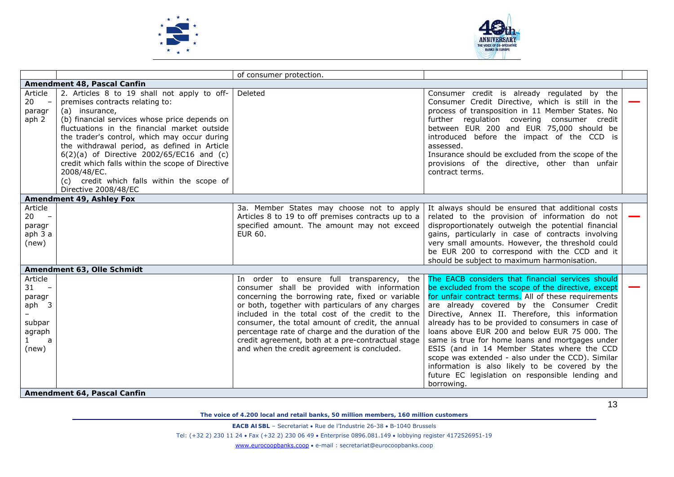



|                                                                          |                                                                                                                                                                                                                                                                                                                                                                                                                                                                                         | of consumer protection.                                                                                                                                                                                                                                                                                                                                                                                                                                           |                                                                                                                                                                                                                                                                                                                                                                                                                                                                                                                                                                                                                                         |  |
|--------------------------------------------------------------------------|-----------------------------------------------------------------------------------------------------------------------------------------------------------------------------------------------------------------------------------------------------------------------------------------------------------------------------------------------------------------------------------------------------------------------------------------------------------------------------------------|-------------------------------------------------------------------------------------------------------------------------------------------------------------------------------------------------------------------------------------------------------------------------------------------------------------------------------------------------------------------------------------------------------------------------------------------------------------------|-----------------------------------------------------------------------------------------------------------------------------------------------------------------------------------------------------------------------------------------------------------------------------------------------------------------------------------------------------------------------------------------------------------------------------------------------------------------------------------------------------------------------------------------------------------------------------------------------------------------------------------------|--|
|                                                                          | Amendment 48, Pascal Canfin                                                                                                                                                                                                                                                                                                                                                                                                                                                             |                                                                                                                                                                                                                                                                                                                                                                                                                                                                   |                                                                                                                                                                                                                                                                                                                                                                                                                                                                                                                                                                                                                                         |  |
| Article<br>$20 -$<br>paragr<br>aph <sub>2</sub>                          | 2. Articles 8 to 19 shall not apply to off-<br>premises contracts relating to:<br>(a) insurance,<br>(b) financial services whose price depends on<br>fluctuations in the financial market outside<br>the trader's control, which may occur during<br>the withdrawal period, as defined in Article<br>6(2)(a) of Directive 2002/65/EC16 and (c)<br>credit which falls within the scope of Directive<br>2008/48/EC.<br>(c) credit which falls within the scope of<br>Directive 2008/48/EC | Deleted                                                                                                                                                                                                                                                                                                                                                                                                                                                           | Consumer credit is already regulated by the<br>Consumer Credit Directive, which is still in the<br>process of transposition in 11 Member States. No<br>further regulation covering consumer credit<br>between EUR 200 and EUR 75,000 should be<br>introduced before the impact of the CCD is<br>assessed.<br>Insurance should be excluded from the scope of the<br>provisions of the directive, other than unfair<br>contract terms.                                                                                                                                                                                                    |  |
|                                                                          | Amendment 49, Ashley Fox                                                                                                                                                                                                                                                                                                                                                                                                                                                                |                                                                                                                                                                                                                                                                                                                                                                                                                                                                   |                                                                                                                                                                                                                                                                                                                                                                                                                                                                                                                                                                                                                                         |  |
| Article<br>$20 -$<br>paragr<br>aph 3 a<br>(new)                          |                                                                                                                                                                                                                                                                                                                                                                                                                                                                                         | 3a. Member States may choose not to apply<br>Articles 8 to 19 to off premises contracts up to a<br>specified amount. The amount may not exceed<br>EUR 60.                                                                                                                                                                                                                                                                                                         | It always should be ensured that additional costs<br>related to the provision of information do not<br>disproportionately outweigh the potential financial<br>gains, particularly in case of contracts involving<br>very small amounts. However, the threshold could<br>be EUR 200 to correspond with the CCD and it<br>should be subject to maximum harmonisation.                                                                                                                                                                                                                                                                     |  |
|                                                                          | Amendment 63, Olle Schmidt                                                                                                                                                                                                                                                                                                                                                                                                                                                              |                                                                                                                                                                                                                                                                                                                                                                                                                                                                   |                                                                                                                                                                                                                                                                                                                                                                                                                                                                                                                                                                                                                                         |  |
| Article<br>$31 -$<br>paragr<br>$aph$ 3<br>subpar<br>agraph<br>a<br>(new) |                                                                                                                                                                                                                                                                                                                                                                                                                                                                                         | In order to ensure full transparency, the<br>consumer shall be provided with information<br>concerning the borrowing rate, fixed or variable<br>or both, together with particulars of any charges<br>included in the total cost of the credit to the<br>consumer, the total amount of credit, the annual<br>percentage rate of charge and the duration of the<br>credit agreement, both at a pre-contractual stage<br>and when the credit agreement is concluded. | The EACB considers that financial services should<br>be excluded from the scope of the directive, except<br>for unfair contract terms. All of these requirements<br>are already covered by the Consumer Credit<br>Directive, Annex II. Therefore, this information<br>already has to be provided to consumers in case of<br>loans above EUR 200 and below EUR 75 000. The<br>same is true for home loans and mortgages under<br>ESIS (and in 14 Member States where the CCD<br>scope was extended - also under the CCD). Similar<br>information is also likely to be covered by the<br>future EC legislation on responsible lending and |  |
|                                                                          | Amendment 64, Pascal Canfin                                                                                                                                                                                                                                                                                                                                                                                                                                                             |                                                                                                                                                                                                                                                                                                                                                                                                                                                                   | borrowing.                                                                                                                                                                                                                                                                                                                                                                                                                                                                                                                                                                                                                              |  |

*The voice of 4.200 local and retail banks, 50 million members, 160 million customers* 

**EACB AISBL** – Secretariat • Rue de l'Industrie 26-38 • B-1040 Brussels

Tel: (+32 2) 230 11 24 Fax (+32 2) 230 06 49 Enterprise 0896.081.149 lobbying register 4172526951-19